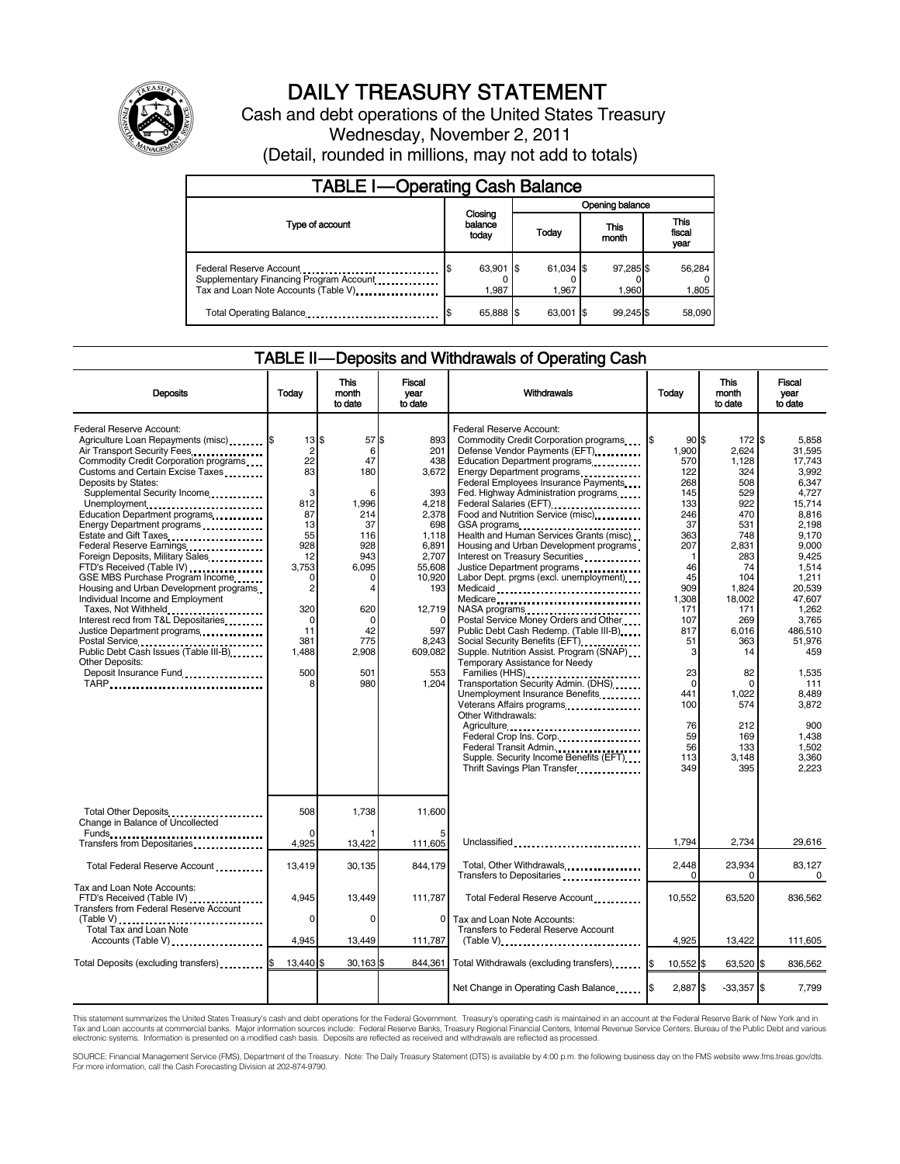

# DAILY TREASURY STATEMENT

Cash and debt operations of the United States Treasury Wednesday, November 2, 2011 (Detail, rounded in millions, may not add to totals)

| <b>TABLE I-Operating Cash Balance</b>                                                                      |                             |  |                    |                    |                               |  |  |
|------------------------------------------------------------------------------------------------------------|-----------------------------|--|--------------------|--------------------|-------------------------------|--|--|
|                                                                                                            |                             |  | Opening balance    |                    |                               |  |  |
| Type of account                                                                                            | Closing<br>balance<br>today |  | Today              | This<br>month      | <b>This</b><br>fiscal<br>year |  |  |
| Federal Reserve Account<br>Supplementary Financing Program Account<br>Tax and Loan Note Accounts (Table V) | 63,901 \$<br>1.987          |  | 61,034 \$<br>1.967 | 97,285 \$<br>1,960 | 56,284<br>1,805               |  |  |
| Total Operating Balance                                                                                    | 65,888 \$                   |  | 63.001             | 99.245             | 58,090                        |  |  |

### TABLE II — Deposits and Withdrawals of Operating Cash

| <b>Deposits</b>                                                                                                                                                                                                                                                                                                                                                                                                                                                                                                                                                                                                                                                                                                                                                                 | Todav                                                                                                                                                                                  | <b>This</b><br>month<br>to date                                                                                                                                | <b>Fiscal</b><br>vear<br>to date                                                                                                                                                  | Withdrawals                                                                                                                                                                                                                                                                                                                                                                                                                                                                                                                                                                                                                                                                                                                                                                                                                                                                                                                                                                                                                           | Today                                                                                                                                                                                                                        | <b>This</b><br>month<br>to date                                                                                                                                                                                                      | <b>Fiscal</b><br>vear<br>to date                                                                                                                                                                                                                                             |
|---------------------------------------------------------------------------------------------------------------------------------------------------------------------------------------------------------------------------------------------------------------------------------------------------------------------------------------------------------------------------------------------------------------------------------------------------------------------------------------------------------------------------------------------------------------------------------------------------------------------------------------------------------------------------------------------------------------------------------------------------------------------------------|----------------------------------------------------------------------------------------------------------------------------------------------------------------------------------------|----------------------------------------------------------------------------------------------------------------------------------------------------------------|-----------------------------------------------------------------------------------------------------------------------------------------------------------------------------------|---------------------------------------------------------------------------------------------------------------------------------------------------------------------------------------------------------------------------------------------------------------------------------------------------------------------------------------------------------------------------------------------------------------------------------------------------------------------------------------------------------------------------------------------------------------------------------------------------------------------------------------------------------------------------------------------------------------------------------------------------------------------------------------------------------------------------------------------------------------------------------------------------------------------------------------------------------------------------------------------------------------------------------------|------------------------------------------------------------------------------------------------------------------------------------------------------------------------------------------------------------------------------|--------------------------------------------------------------------------------------------------------------------------------------------------------------------------------------------------------------------------------------|------------------------------------------------------------------------------------------------------------------------------------------------------------------------------------------------------------------------------------------------------------------------------|
| Federal Reserve Account:<br>Agriculture Loan Repayments (misc) \$<br>Air Transport Security Fees<br>Commodity Credit Corporation programs<br>Customs and Certain Excise Taxes<br>Deposits by States:<br>Supplemental Security Income<br>Unemployment<br>Education Department programs<br>Energy Department programs<br>Estate and Gift Taxes<br>Federal Reserve Earnings.<br>Foreign Deposits, Military Sales<br>FTD's Received (Table IV)<br>GSE MBS Purchase Program Income<br>Housing and Urban Development programs<br>Individual Income and Employment<br>Taxes, Not Withheld<br>Interest recd from T&L Depositaries<br>Justice Department programs<br>Postal Service<br>Public Debt Cash Issues (Table III-B)<br>The Cash Issues (Table III-B)<br>Other Deposits:<br>TARP | $13$ $$$<br>$\overline{\mathbf{c}}$<br>22<br>83<br>3<br>812<br>87<br>13<br>55<br>928<br>12<br>3,753<br>$\Omega$<br>$\overline{c}$<br>320<br>$\Omega$<br>11<br>381<br>1,488<br>500<br>8 | 57 \$<br>6<br>47<br>180<br>6<br>1,996<br>214<br>37<br>116<br>928<br>943<br>6.095<br>0<br>$\overline{4}$<br>620<br>$\Omega$<br>42<br>775<br>2,908<br>501<br>980 | 893<br>201<br>438<br>3.672<br>393<br>4,218<br>2.378<br>698<br>1,118<br>6,891<br>2.707<br>55,608<br>10,920<br>193<br>12,719<br>$\Omega$<br>597<br>8.243<br>609,082<br>553<br>1,204 | Federal Reserve Account:<br>Commodity Credit Corporation programs<br>Defense Vendor Payments (EFT)<br>Education Department programs<br>Federal Employees Insurance Payments<br>Fed. Highway Administration programs<br>Federal Salaries (EFT)<br>Food and Nutrition Service (misc)<br>GSA programs<br>Health and Human Services Grants (misc)<br>Housing and Urban Development programs<br>Interest on Treasury Securities<br>Justice Department programs<br><br>Labor Dept. prgms (excl. unemployment)<br>Medicare<br>NASA programs<br>Postal Service Money Orders and Other<br>Public Debt Cash Redemp. (Table III-B)<br>Social Security Benefits (EFT)<br>Supple. Nutrition Assist. Program (SNAP)<br>Temporary Assistance for Needy<br>Families (HHS)<br>Transportation Security Admin. (DHS)<br>Unemployment Insurance Benefits<br>Veterans Affairs programs<br>Other Withdrawals:<br>Agriculture<br>Federal Crop Ins. Corp.<br>Federal Transit Admin.<br>Supple. Security Income Benefits (EFT)<br>Thrift Savings Plan Transfer | $90$ s<br>1,900<br>570<br>122<br>268<br>145<br>133<br>246<br>37<br>363<br>207<br>$\mathbf{1}$<br>46<br>45<br>909<br>1.308<br>171<br>107<br>817<br>51<br>3<br>23<br>$\mathbf 0$<br>441<br>100<br>76<br>59<br>56<br>113<br>349 | 172 \$<br>2.624<br>1,128<br>324<br>508<br>529<br>922<br>470<br>531<br>748<br>2,831<br>283<br>74<br>104<br>1,824<br>18.002<br>171<br>269<br>6.016<br>363<br>14<br>82<br>$\Omega$<br>1,022<br>574<br>212<br>169<br>133<br>3.148<br>395 | 5.858<br>31.595<br>17.743<br>3.992<br>6.347<br>4.727<br>15.714<br>8.816<br>2.198<br>9.170<br>9.000<br>9.425<br>1.514<br>1.211<br>20.539<br>47.607<br>1.262<br>3.765<br>486.510<br>51.976<br>459<br>1.535<br>111<br>8.489<br>3,872<br>900<br>1.438<br>1.502<br>3.360<br>2.223 |
| Total Other Deposits<br>Change in Balance of Uncollected<br>Funds                                                                                                                                                                                                                                                                                                                                                                                                                                                                                                                                                                                                                                                                                                               | 508                                                                                                                                                                                    | 1,738                                                                                                                                                          | 11,600                                                                                                                                                                            |                                                                                                                                                                                                                                                                                                                                                                                                                                                                                                                                                                                                                                                                                                                                                                                                                                                                                                                                                                                                                                       |                                                                                                                                                                                                                              |                                                                                                                                                                                                                                      |                                                                                                                                                                                                                                                                              |
| Transfers from Depositaries                                                                                                                                                                                                                                                                                                                                                                                                                                                                                                                                                                                                                                                                                                                                                     | 4,925                                                                                                                                                                                  | 13,422                                                                                                                                                         | 111,605                                                                                                                                                                           | Unclassified                                                                                                                                                                                                                                                                                                                                                                                                                                                                                                                                                                                                                                                                                                                                                                                                                                                                                                                                                                                                                          | 1,794                                                                                                                                                                                                                        | 2,734                                                                                                                                                                                                                                | 29,616                                                                                                                                                                                                                                                                       |
| Total Federal Reserve Account                                                                                                                                                                                                                                                                                                                                                                                                                                                                                                                                                                                                                                                                                                                                                   | 13,419                                                                                                                                                                                 | 30,135                                                                                                                                                         | 844.179                                                                                                                                                                           | Total, Other Withdrawals<br>Transfers to Depositaries                                                                                                                                                                                                                                                                                                                                                                                                                                                                                                                                                                                                                                                                                                                                                                                                                                                                                                                                                                                 | 2,448<br>0                                                                                                                                                                                                                   | 23,934<br>$\Omega$                                                                                                                                                                                                                   | 83.127<br>$\Omega$                                                                                                                                                                                                                                                           |
| Tax and Loan Note Accounts:<br>FTD's Received (Table IV)<br><b>Transfers from Federal Reserve Account</b>                                                                                                                                                                                                                                                                                                                                                                                                                                                                                                                                                                                                                                                                       | 4,945                                                                                                                                                                                  | 13,449                                                                                                                                                         | 111,787                                                                                                                                                                           | Total Federal Reserve Account                                                                                                                                                                                                                                                                                                                                                                                                                                                                                                                                                                                                                                                                                                                                                                                                                                                                                                                                                                                                         | 10,552                                                                                                                                                                                                                       | 63,520                                                                                                                                                                                                                               | 836,562                                                                                                                                                                                                                                                                      |
| Total Tax and Loan Note<br>Accounts (Table V)                                                                                                                                                                                                                                                                                                                                                                                                                                                                                                                                                                                                                                                                                                                                   | $\Omega$<br>4,945                                                                                                                                                                      | $\Omega$<br>13,449                                                                                                                                             | $\Omega$<br>111,787                                                                                                                                                               | Tax and Loan Note Accounts:<br>Transfers to Federal Reserve Account<br>$(Table V)$                                                                                                                                                                                                                                                                                                                                                                                                                                                                                                                                                                                                                                                                                                                                                                                                                                                                                                                                                    | 4,925                                                                                                                                                                                                                        | 13,422                                                                                                                                                                                                                               | 111,605                                                                                                                                                                                                                                                                      |
| Total Deposits (excluding transfers) <b>S</b>                                                                                                                                                                                                                                                                                                                                                                                                                                                                                                                                                                                                                                                                                                                                   | 13.440 \$                                                                                                                                                                              | 30,163 \$                                                                                                                                                      | 844.361                                                                                                                                                                           | Total Withdrawals (excluding transfers)                                                                                                                                                                                                                                                                                                                                                                                                                                                                                                                                                                                                                                                                                                                                                                                                                                                                                                                                                                                               | 1\$<br>10,552 \$                                                                                                                                                                                                             | 63,520 \$                                                                                                                                                                                                                            | 836,562                                                                                                                                                                                                                                                                      |
|                                                                                                                                                                                                                                                                                                                                                                                                                                                                                                                                                                                                                                                                                                                                                                                 |                                                                                                                                                                                        |                                                                                                                                                                |                                                                                                                                                                                   | Net Change in Operating Cash Balance                                                                                                                                                                                                                                                                                                                                                                                                                                                                                                                                                                                                                                                                                                                                                                                                                                                                                                                                                                                                  | 2,887 \$                                                                                                                                                                                                                     | $-33,357$ \$                                                                                                                                                                                                                         | 7,799                                                                                                                                                                                                                                                                        |
|                                                                                                                                                                                                                                                                                                                                                                                                                                                                                                                                                                                                                                                                                                                                                                                 |                                                                                                                                                                                        |                                                                                                                                                                |                                                                                                                                                                                   |                                                                                                                                                                                                                                                                                                                                                                                                                                                                                                                                                                                                                                                                                                                                                                                                                                                                                                                                                                                                                                       |                                                                                                                                                                                                                              |                                                                                                                                                                                                                                      |                                                                                                                                                                                                                                                                              |

This statement summarizes the United States Treasury's cash and debt operations for the Federal Government. Treasury's operating cash is maintained in an account at the Federal Reserve Bank of New York and in<br>Tax and Loan

SOURCE: Financial Management Service (FMS), Department of the Treasury. Note: The Daily Treasury Statement (DTS) is available by 4:00 p.m. the following business day on the FMS website www.fms.treas.gov/dts.<br>For more infor